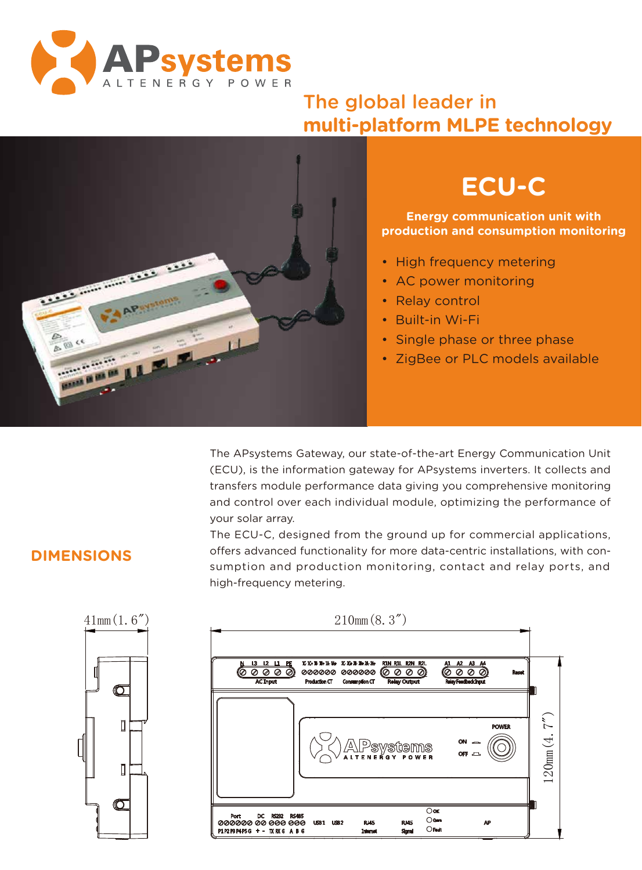

### The global leader in **multi-platform MLPE technology**



# **ECU-C**

**Energy communication unit with production and consumption monitoring**

- High frequency metering
- AC power monitoring
- Relay control
- Built-in Wi-Fi
- Single phase or three phase
- ZigBee or PLC models available

The APsystems Gateway, our state-of-the-art Energy Communication Unit (ECU), is the information gateway for APsystems inverters. It collects and transfers module performance data giving you comprehensive monitoring and control over each individual module, optimizing the performance of your solar array.

The ECU-C, designed from the ground up for commercial applications, offers advanced functionality for more data-centric installations, with consumption and production monitoring, contact and relay ports, and high-frequency metering.



| <b>POWER</b><br>$ON \frown$<br>APsystems<br>.ltenergy power<br>/≙∖<br>OFF ALL |
|-------------------------------------------------------------------------------|
|                                                                               |
|                                                                               |

### **DIMENSIONS**